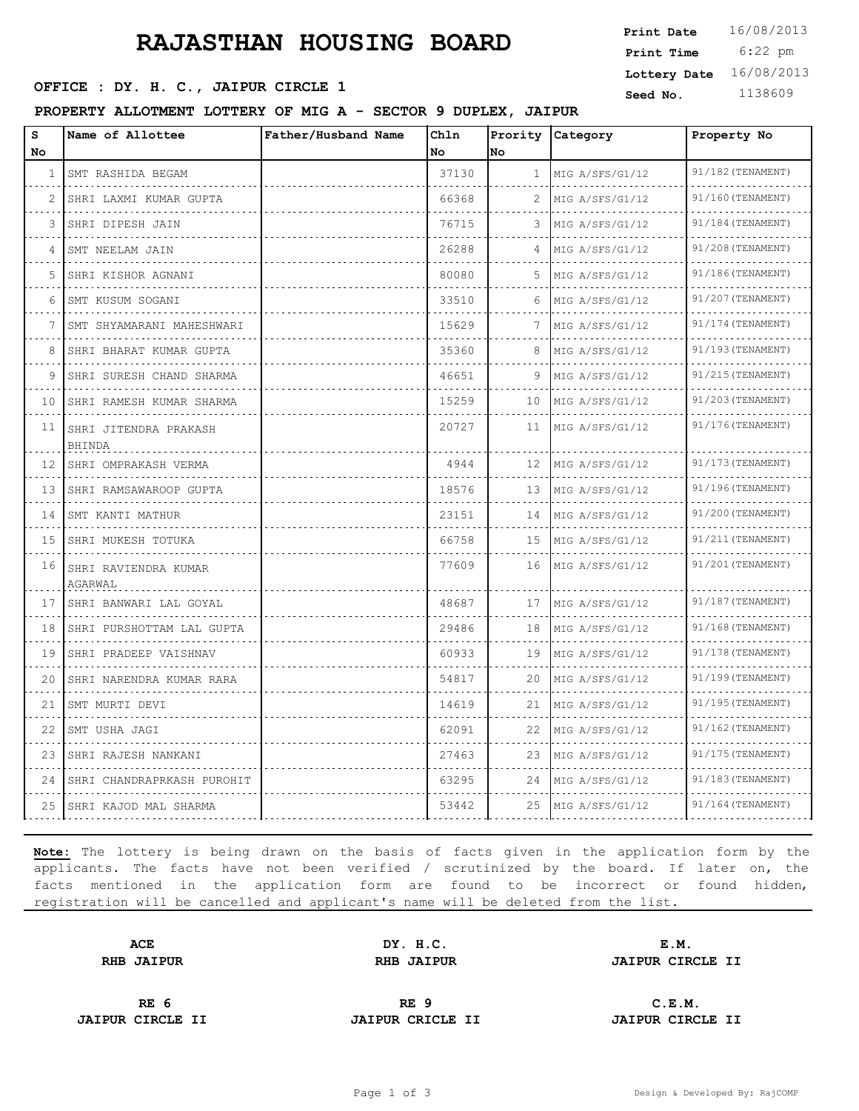# **RAJASTHAN HOUSING BOARD** Print Time 6:22 pm

**OFFICE : DY. H. C., JAIPUR CIRCLE 1** Seed No. 1138609

#### **PROPERTY ALLOTMENT LOTTERY OF MIG A - SECTOR 9 DUPLEX, JAIPUR**

| Print Date   | 16/08/2013 |
|--------------|------------|
| Print Time   | $6:22$ pm  |
| Lottery Date | 16/08/2013 |

| s<br>No    | Name of Allottee                | Father/Husband Name | Ch1n<br>No | Prority<br>lno | Category             | Property No       |
|------------|---------------------------------|---------------------|------------|----------------|----------------------|-------------------|
| $1\,$ $\,$ | SMT RASHIDA BEGAM               |                     | 37130      | $\mathbf{1}$   | MIG A/SFS/G1/12      | 91/182 (TENAMENT) |
| 2          | SHRI LAXMI KUMAR GUPTA          |                     | 66368      | 2              | MIG A/SFS/G1/12      | 91/160 (TENAMENT) |
| 3          | SHRI DIPESH JAIN                |                     | 76715      | 3              | MIG A/SFS/G1/12      | 91/184 (TENAMENT) |
| 4          | SMT NEELAM JAIN                 |                     | 26288      | 4              | MIG A/SFS/G1/12      | 91/208 (TENAMENT) |
| 5          | SHRI KISHOR AGNANI              |                     | 80080      | 5              | MIG A/SFS/G1/12      | 91/186(TENAMENT)  |
| 6          | SMT KUSUM SOGANI                |                     | 33510      | 6              | MIG A/SFS/G1/12      | 91/207 (TENAMENT) |
| 7          | SMT SHYAMARANI MAHESHWARI       |                     | 15629      | 7              | MIG A/SFS/G1/12      | 91/174 (TENAMENT) |
| 8          | SHRI BHARAT KUMAR GUPTA         |                     | 35360      | 8              | MIG A/SFS/G1/12      | 91/193 (TENAMENT) |
| 9          | SHRI SURESH CHAND SHARMA<br>.   |                     | 46651      | 9              | MIG A/SFS/G1/12      | 91/215 (TENAMENT) |
| 10         | SHRI RAMESH KUMAR SHARMA        |                     | 15259      | 10             | MIG A/SFS/G1/12      | 91/203 (TENAMENT) |
| 11         | SHRI JITENDRA PRAKASH<br>BHINDA |                     | 20727      | 11             | MIG A/SFS/G1/12      | 91/176 (TENAMENT) |
| 12         | SHRI OMPRAKASH VERMA            |                     | 4944       | 12             | MIG A/SFS/G1/12      | 91/173 (TENAMENT) |
| 13         | SHRI RAMSAWAROOP GUPTA          |                     | 18576      | 13             | MIG A/SFS/G1/12      | 91/196(TENAMENT)  |
| 14         | SMT KANTI MATHUR                |                     | 23151      | 14             | MIG A/SFS/G1/12      | 91/200 (TENAMENT) |
| 15         | SHRI MUKESH TOTUKA              |                     | 66758      | 15             | MIG A/SFS/G1/12      | 91/211 (TENAMENT) |
| 16         | SHRI RAVIENDRA KUMAR<br>AGARWAL |                     | 77609      | 16             | MIG A/SFS/G1/12      | 91/201 (TENAMENT) |
| 17         | SHRI BANWARI LAL GOYAL          |                     | 48687      | 17             | MIG A/SFS/G1/12<br>. | 91/187 (TENAMENT) |
| 18         | SHRI PURSHOTTAM LAL GUPTA<br>.  |                     | 29486      | 18             | MIG A/SFS/G1/12      | 91/168 (TENAMENT) |
| 19         | SHRI PRADEEP VAISHNAV           |                     | 60933      | 19             | MIG A/SFS/G1/12      | 91/178 (TENAMENT) |
| 20         | SHRI NARENDRA KUMAR RARA        |                     | 54817      | 20             | MIG A/SFS/G1/12      | 91/199 (TENAMENT) |
| 21         | SMT MURTI DEVI                  |                     | 14619      | 21             | MIG A/SFS/G1/12      | 91/195 (TENAMENT) |
| 22         | SMT USHA JAGI                   |                     | 62091      | 22             | MIG A/SFS/G1/12      | 91/162 (TENAMENT) |
| 23         | SHRI RAJESH NANKANI             |                     | 27463      | 23             | MIG A/SFS/G1/12      | 91/175 (TENAMENT) |
| 24         | SHRI CHANDRAPRKASH PUROHIT      |                     | 63295      | 24             | MIG A/SFS/G1/12      | 91/183 (TENAMENT) |
| 25         | ISHRI KAJOD MAL SHARMA          |                     | 53442      | 25             | MIG A/SFS/G1/12      | 91/164 (TENAMENT) |

**Note:** The lottery is being drawn on the basis of facts given in the application form by the applicants. The facts have not been verified / scrutinized by the board. If later on, the facts mentioned in the application form are found to be incorrect or found hidden, registration will be cancelled and applicant's name will be deleted from the list.

**ACE DY. H.C. E.M. RHB JAIPUR RHB JAIPUR JAIPUR CIRCLE II**

**JAIPUR CIRCLE II JAIPUR CRICLE II JAIPUR CIRCLE II**

**RE 6 RE 9 C.E.M.**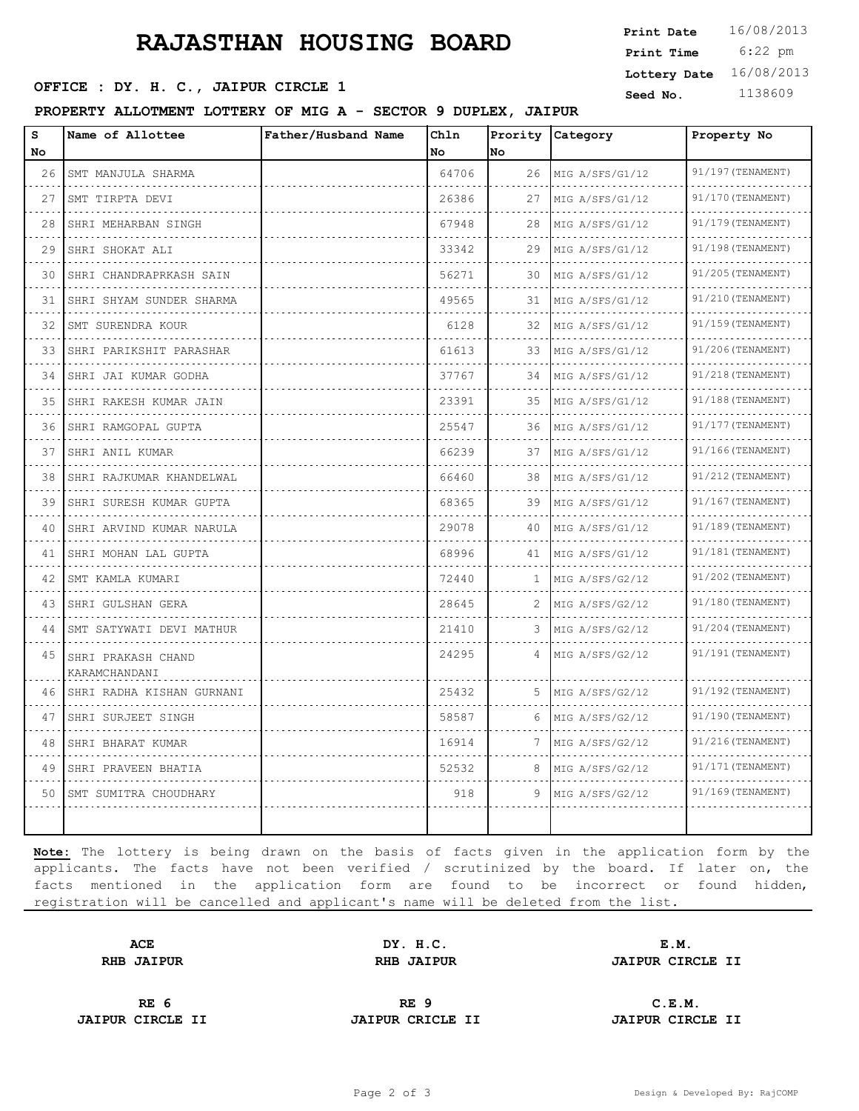## **RAJASTHAN HOUSING BOARD**

**OFFICE : DY. H. C., JAIPUR CIRCLE 1 Seed No.** 1138609

#### **PROPERTY ALLOTMENT LOTTERY OF MIG A - SECTOR 9 DUPLEX, JAIPUR**

 6:22 pm **Print Date**  $16/08/2013$ **Print Time Lottery Date** 16/08/2013

| s<br>No                    | Name of Allottee                    | Father/Husband Name | Chln<br>No | No      | Prority Category     | Property No                   |
|----------------------------|-------------------------------------|---------------------|------------|---------|----------------------|-------------------------------|
| 26                         | SMT MANJULA SHARMA                  |                     | 64706      | 26      | MIG A/SFS/G1/12      | 91/197 (TENAMENT)             |
| 27                         | .<br>SMT TIRPTA DEVI                |                     | 26386      | 27      | .<br>MIG A/SFS/G1/12 | .<br>91/170 (TENAMENT)        |
| 28                         | SHRI MEHARBAN SINGH                 |                     | 67948      | 28      | MIG A/SFS/G1/12      | 91/179 (TENAMENT)             |
| 29                         | SHRI SHOKAT ALI                     |                     | 33342      | 29      | MIG A/SFS/G1/12      | 91/198 (TENAMENT)             |
| 30                         | SHRI CHANDRAPRKASH SAIN             |                     | 56271      | 30      | MIG A/SFS/G1/12      | .<br>91/205 (TENAMENT)        |
| 31                         | SHRI SHYAM SUNDER SHARMA            |                     | 49565      | 31      | MIG A/SFS/G1/12      | 91/210 (TENAMENT)             |
| 32                         | SMT SURENDRA KOUR                   |                     | 6128       | 32      | MIG A/SFS/G1/12      | 91/159 (TENAMENT)             |
| 33                         | SHRI PARIKSHIT PARASHAR             |                     | 61613      | 33      | MIG A/SFS/G1/12      | 91/206(TENAMENT)              |
| 34                         | SHRI JAI KUMAR GODHA                |                     | 37767      | 34      | MIG A/SFS/G1/12      | .<br>91/218 (TENAMENT)        |
| 35                         | SHRI RAKESH KUMAR JAIN              |                     | 23391      | 35      | MIG A/SFS/G1/12      | 91/188 (TENAMENT)<br>.        |
| $\sim$ $\sim$ $\sim$<br>36 | SHRI RAMGOPAL GUPTA                 |                     | 25547      | .<br>36 | MIG A/SFS/G1/12<br>. | 91/177 (TENAMENT)             |
| 37                         | SHRI ANIL KUMAR                     |                     | 66239      | 37      | MIG A/SFS/G1/12      | 91/166 (TENAMENT)             |
| 38                         | SHRI RAJKUMAR KHANDELWAL            |                     | 66460      | 38      | MIG A/SFS/G1/12      | 91/212 (TENAMENT)             |
| 39                         | SHRI SURESH KUMAR GUPTA             |                     | 68365      | 39      | MIG A/SFS/G1/12<br>. | 91/167 (TENAMENT)<br><u>.</u> |
| 40                         | SHRI ARVIND KUMAR NARULA            |                     | 29078      | 40      | MIG A/SFS/G1/12      | 91/189 (TENAMENT)             |
| 41                         | SHRI MOHAN LAL GUPTA                |                     | 68996      | 41      | MIG A/SFS/G1/12      | 91/181 (TENAMENT)             |
| 42                         | SMT KAMLA KUMARI<br>.               |                     | 72440      | 1       | MIG A/SFS/G2/12      | 91/202 (TENAMENT)             |
| 43                         | SHRI GULSHAN GERA                   |                     | 28645      | 2       | MIG A/SFS/G2/12<br>. | 91/180 (TENAMENT)<br>.        |
| 44                         | SMT SATYWATI DEVI MATHUR            |                     | 21410      |         | MIG A/SFS/G2/12      | 91/204 (TENAMENT)             |
| 45                         | SHRI PRAKASH CHAND<br>KARAMCHANDANI |                     | 24295      | 4       | MIG A/SFS/G2/12      | 91/191 (TENAMENT)             |
| 46                         | SHRI RADHA KISHAN GURNANI           |                     | 25432      | 5       | MIG A/SFS/G2/12      | 91/192 (TENAMENT)             |
| 47                         | SHRI SURJEET SINGH<br>.             |                     | 58587      | 6       | MIG A/SFS/G2/12      | 91/190 (TENAMENT)             |
| 48                         | SHRI BHARAT KUMAR<br>.              |                     | 16914      | 7       | MIG A/SFS/G2/12      | 91/216 (TENAMENT)             |
| 49                         | SHRI PRAVEEN BHATIA                 |                     | 52532      | 8       | MIG A/SFS/G2/12      | 91/171 (TENAMENT)             |
| 50                         | SMT SUMITRA CHOUDHARY               |                     | 918        | 9       | MIG A/SFS/G2/12      | 91/169 (TENAMENT)             |
|                            |                                     |                     |            |         |                      |                               |

**Note:** The lottery is being drawn on the basis of facts given in the application form by the applicants. The facts have not been verified / scrutinized by the board. If later on, the facts mentioned in the application form are found to be incorrect or found hidden, registration will be cancelled and applicant's name will be deleted from the list.

**ACE DY. H.C. E.M. RHB JAIPUR RHB JAIPUR JAIPUR CIRCLE II**

**JAIPUR CIRCLE II JAIPUR CRICLE II JAIPUR CIRCLE II**

**RE 6 RE 9 C.E.M.**